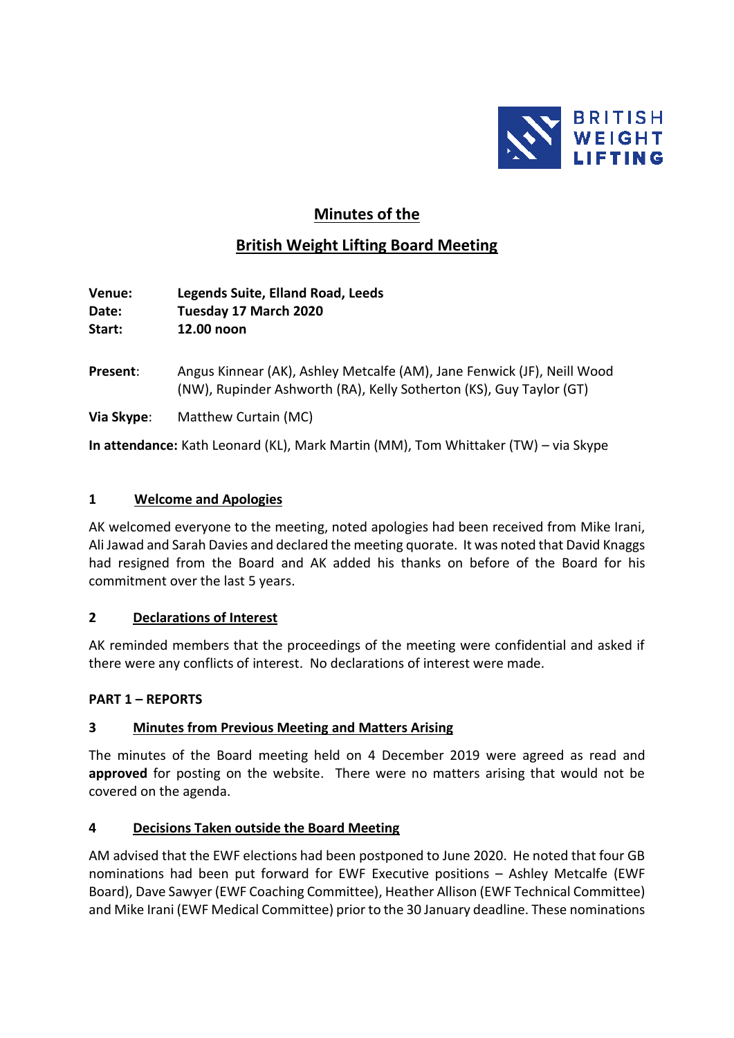

## **Minutes of the**

# **British Weight Lifting Board Meeting**

**Venue: Legends Suite, Elland Road, Leeds Date: Tuesday 17 March 2020 Start: 12.00 noon**

**Present**: Angus Kinnear (AK), Ashley Metcalfe (AM), Jane Fenwick (JF), Neill Wood (NW), Rupinder Ashworth (RA), Kelly Sotherton (KS), Guy Taylor (GT)

**Via Skype**: Matthew Curtain (MC)

**In attendance:** Kath Leonard (KL), Mark Martin (MM), Tom Whittaker (TW) – via Skype

#### **1 Welcome and Apologies**

AK welcomed everyone to the meeting, noted apologies had been received from Mike Irani, Ali Jawad and Sarah Davies and declared the meeting quorate. It was noted that David Knaggs had resigned from the Board and AK added his thanks on before of the Board for his commitment over the last 5 years.

#### **2 Declarations of Interest**

AK reminded members that the proceedings of the meeting were confidential and asked if there were any conflicts of interest. No declarations of interest were made.

#### **PART 1 – REPORTS**

## **3 Minutes from Previous Meeting and Matters Arising**

The minutes of the Board meeting held on 4 December 2019 were agreed as read and **approved** for posting on the website. There were no matters arising that would not be covered on the agenda.

## **4 Decisions Taken outside the Board Meeting**

AM advised that the EWF elections had been postponed to June 2020. He noted that four GB nominations had been put forward for EWF Executive positions – Ashley Metcalfe (EWF Board), Dave Sawyer (EWF Coaching Committee), Heather Allison (EWF Technical Committee) and Mike Irani (EWF Medical Committee) prior to the 30 January deadline. These nominations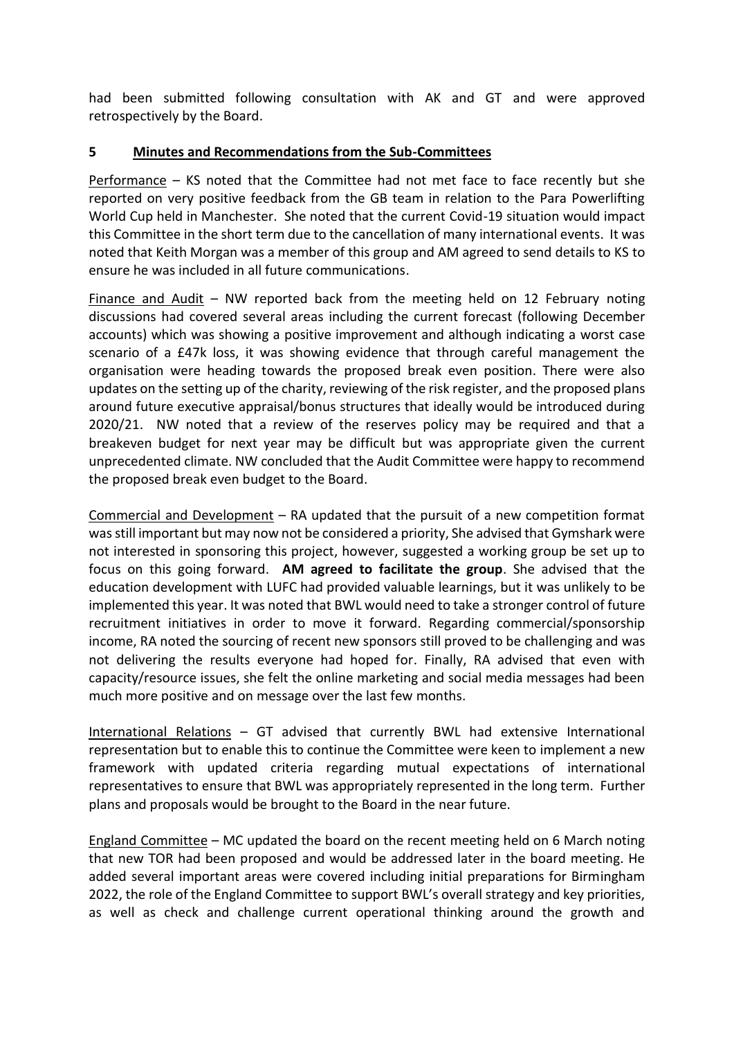had been submitted following consultation with AK and GT and were approved retrospectively by the Board.

#### **5 Minutes and Recommendations from the Sub-Committees**

Performance – KS noted that the Committee had not met face to face recently but she reported on very positive feedback from the GB team in relation to the Para Powerlifting World Cup held in Manchester. She noted that the current Covid-19 situation would impact this Committee in the short term due to the cancellation of many international events. It was noted that Keith Morgan was a member of this group and AM agreed to send details to KS to ensure he was included in all future communications.

Finance and Audit – NW reported back from the meeting held on 12 February noting discussions had covered several areas including the current forecast (following December accounts) which was showing a positive improvement and although indicating a worst case scenario of a £47k loss, it was showing evidence that through careful management the organisation were heading towards the proposed break even position. There were also updates on the setting up of the charity, reviewing of the risk register, and the proposed plans around future executive appraisal/bonus structures that ideally would be introduced during 2020/21. NW noted that a review of the reserves policy may be required and that a breakeven budget for next year may be difficult but was appropriate given the current unprecedented climate. NW concluded that the Audit Committee were happy to recommend the proposed break even budget to the Board.

Commercial and Development – RA updated that the pursuit of a new competition format was still important but may now not be considered a priority, She advised that Gymshark were not interested in sponsoring this project, however, suggested a working group be set up to focus on this going forward. **AM agreed to facilitate the group**. She advised that the education development with LUFC had provided valuable learnings, but it was unlikely to be implemented this year. It was noted that BWL would need to take a stronger control of future recruitment initiatives in order to move it forward. Regarding commercial/sponsorship income, RA noted the sourcing of recent new sponsors still proved to be challenging and was not delivering the results everyone had hoped for. Finally, RA advised that even with capacity/resource issues, she felt the online marketing and social media messages had been much more positive and on message over the last few months.

International Relations – GT advised that currently BWL had extensive International representation but to enable this to continue the Committee were keen to implement a new framework with updated criteria regarding mutual expectations of international representatives to ensure that BWL was appropriately represented in the long term. Further plans and proposals would be brought to the Board in the near future.

England Committee – MC updated the board on the recent meeting held on 6 March noting that new TOR had been proposed and would be addressed later in the board meeting. He added several important areas were covered including initial preparations for Birmingham 2022, the role of the England Committee to support BWL's overall strategy and key priorities, as well as check and challenge current operational thinking around the growth and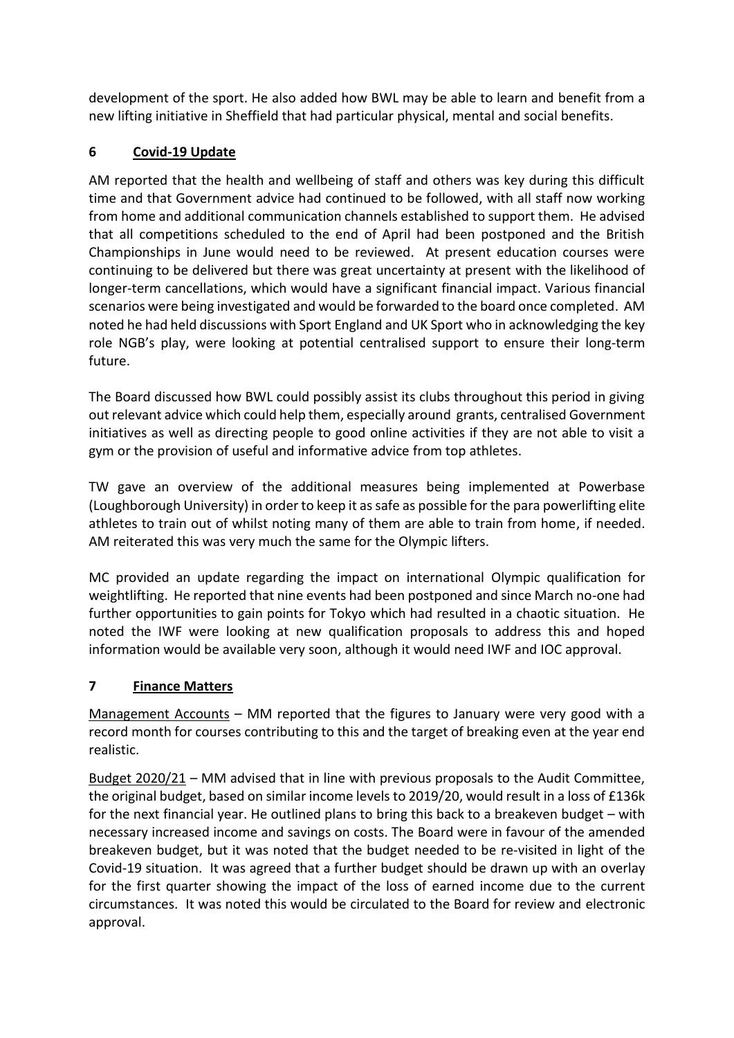development of the sport. He also added how BWL may be able to learn and benefit from a new lifting initiative in Sheffield that had particular physical, mental and social benefits.

## **6 Covid-19 Update**

AM reported that the health and wellbeing of staff and others was key during this difficult time and that Government advice had continued to be followed, with all staff now working from home and additional communication channels established to support them. He advised that all competitions scheduled to the end of April had been postponed and the British Championships in June would need to be reviewed. At present education courses were continuing to be delivered but there was great uncertainty at present with the likelihood of longer-term cancellations, which would have a significant financial impact. Various financial scenarios were being investigated and would be forwarded to the board once completed. AM noted he had held discussions with Sport England and UK Sport who in acknowledging the key role NGB's play, were looking at potential centralised support to ensure their long-term future.

The Board discussed how BWL could possibly assist its clubs throughout this period in giving out relevant advice which could help them, especially around grants, centralised Government initiatives as well as directing people to good online activities if they are not able to visit a gym or the provision of useful and informative advice from top athletes.

TW gave an overview of the additional measures being implemented at Powerbase (Loughborough University) in order to keep it as safe as possible for the para powerlifting elite athletes to train out of whilst noting many of them are able to train from home, if needed. AM reiterated this was very much the same for the Olympic lifters.

MC provided an update regarding the impact on international Olympic qualification for weightlifting. He reported that nine events had been postponed and since March no-one had further opportunities to gain points for Tokyo which had resulted in a chaotic situation. He noted the IWF were looking at new qualification proposals to address this and hoped information would be available very soon, although it would need IWF and IOC approval.

## **7 Finance Matters**

Management Accounts - MM reported that the figures to January were very good with a record month for courses contributing to this and the target of breaking even at the year end realistic.

Budget 2020/21 – MM advised that in line with previous proposals to the Audit Committee, the original budget, based on similar income levels to 2019/20, would result in a loss of £136k for the next financial year. He outlined plans to bring this back to a breakeven budget – with necessary increased income and savings on costs. The Board were in favour of the amended breakeven budget, but it was noted that the budget needed to be re-visited in light of the Covid-19 situation. It was agreed that a further budget should be drawn up with an overlay for the first quarter showing the impact of the loss of earned income due to the current circumstances. It was noted this would be circulated to the Board for review and electronic approval.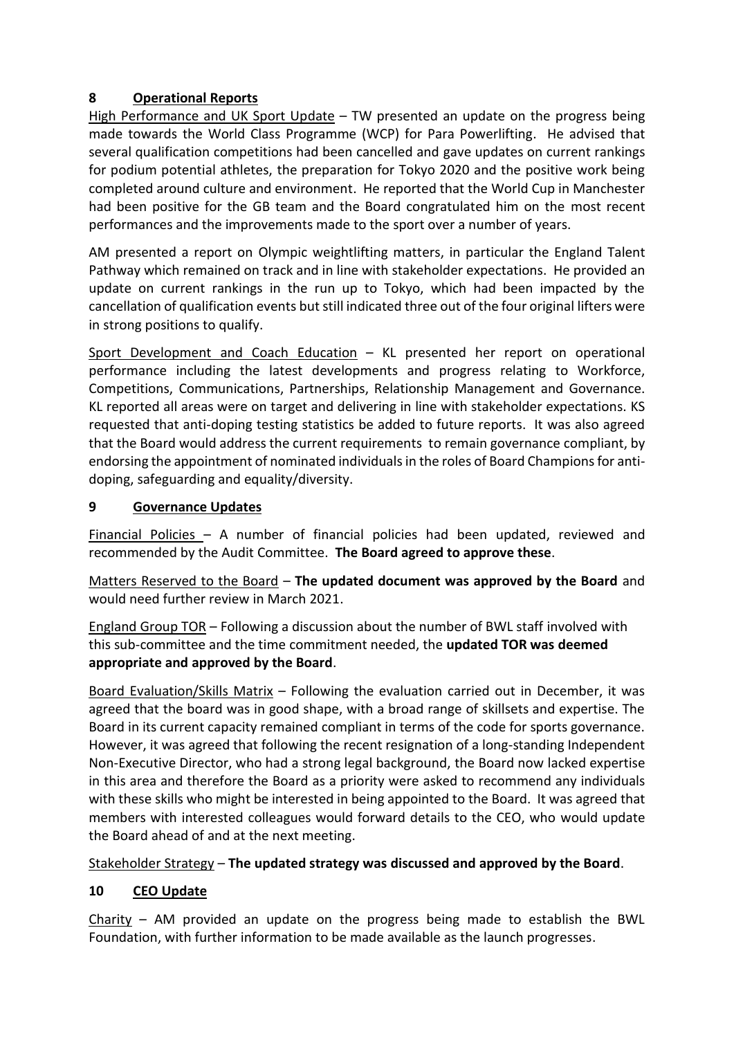#### **8 Operational Reports**

High Performance and UK Sport Update – TW presented an update on the progress being made towards the World Class Programme (WCP) for Para Powerlifting. He advised that several qualification competitions had been cancelled and gave updates on current rankings for podium potential athletes, the preparation for Tokyo 2020 and the positive work being completed around culture and environment. He reported that the World Cup in Manchester had been positive for the GB team and the Board congratulated him on the most recent performances and the improvements made to the sport over a number of years.

AM presented a report on Olympic weightlifting matters, in particular the England Talent Pathway which remained on track and in line with stakeholder expectations. He provided an update on current rankings in the run up to Tokyo, which had been impacted by the cancellation of qualification events but still indicated three out of the four original lifters were in strong positions to qualify.

Sport Development and Coach Education – KL presented her report on operational performance including the latest developments and progress relating to Workforce, Competitions, Communications, Partnerships, Relationship Management and Governance. KL reported all areas were on target and delivering in line with stakeholder expectations. KS requested that anti-doping testing statistics be added to future reports. It was also agreed that the Board would address the current requirements to remain governance compliant, by endorsing the appointment of nominated individuals in the roles of Board Champions for antidoping, safeguarding and equality/diversity.

## **9 Governance Updates**

Financial Policies – A number of financial policies had been updated, reviewed and recommended by the Audit Committee. **The Board agreed to approve these**.

Matters Reserved to the Board – **The updated document was approved by the Board** and would need further review in March 2021.

England Group TOR – Following a discussion about the number of BWL staff involved with this sub-committee and the time commitment needed, the **updated TOR was deemed appropriate and approved by the Board**.

Board Evaluation/Skills Matrix – Following the evaluation carried out in December, it was agreed that the board was in good shape, with a broad range of skillsets and expertise. The Board in its current capacity remained compliant in terms of the code for sports governance. However, it was agreed that following the recent resignation of a long-standing Independent Non-Executive Director, who had a strong legal background, the Board now lacked expertise in this area and therefore the Board as a priority were asked to recommend any individuals with these skills who might be interested in being appointed to the Board. It was agreed that members with interested colleagues would forward details to the CEO, who would update the Board ahead of and at the next meeting.

## Stakeholder Strategy – **The updated strategy was discussed and approved by the Board**.

## **10 CEO Update**

 $Charity$  – AM provided an update on the progress being made to establish the BWL Foundation, with further information to be made available as the launch progresses.